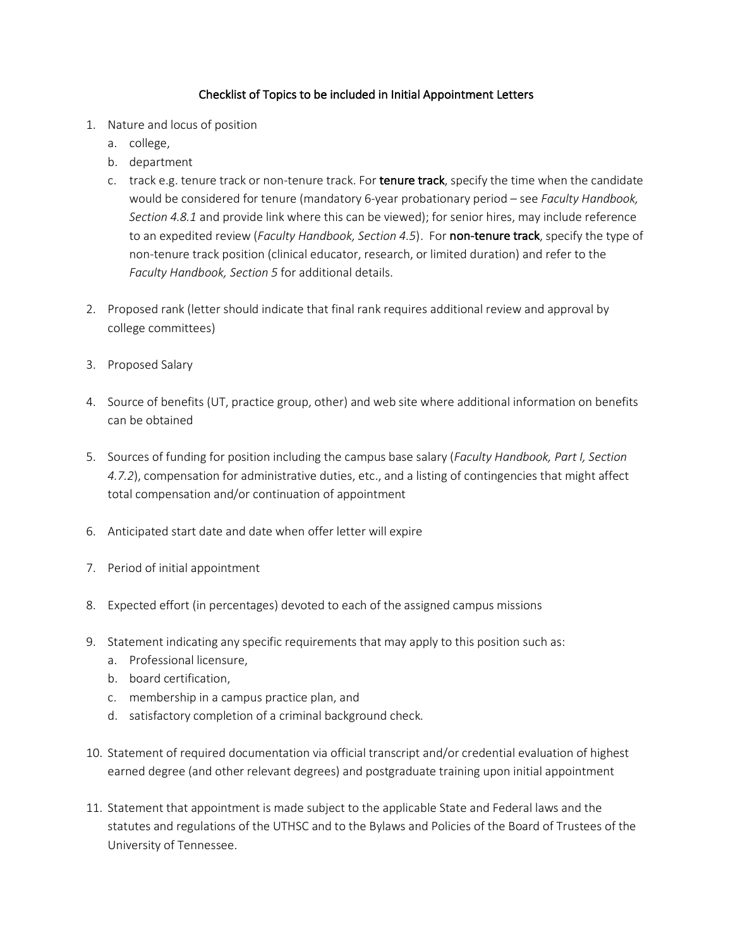## Checklist of Topics to be included in Initial Appointment Letters

- 1. Nature and locus of position
	- a. college,
	- b. department
	- c. track e.g. tenure track or non-tenure track. For tenure track, specify the time when the candidate would be considered for tenure (mandatory 6-year probationary period – see *Faculty Handbook, Section 4.8.1* and provide link where this can be viewed); for senior hires, may include reference to an expedited review (*Faculty Handbook, Section 4.5*). For non-tenure track, specify the type of non-tenure track position (clinical educator, research, or limited duration) and refer to the *Faculty Handbook, Section 5* for additional details.
- 2. Proposed rank (letter should indicate that final rank requires additional review and approval by college committees)
- 3. Proposed Salary
- 4. Source of benefits (UT, practice group, other) and web site where additional information on benefits can be obtained
- 5. Sources of funding for position including the campus base salary (*Faculty Handbook, Part I, Section 4.7.2*), compensation for administrative duties, etc., and a listing of contingencies that might affect total compensation and/or continuation of appointment
- 6. Anticipated start date and date when offer letter will expire
- 7. Period of initial appointment
- 8. Expected effort (in percentages) devoted to each of the assigned campus missions
- 9. Statement indicating any specific requirements that may apply to this position such as:
	- a. Professional licensure,
	- b. board certification,
	- c. membership in a campus practice plan, and
	- d. satisfactory completion of a criminal background check.
- 10. Statement of required documentation via official transcript and/or credential evaluation of highest earned degree (and other relevant degrees) and postgraduate training upon initial appointment
- 11. Statement that appointment is made subject to the applicable State and Federal laws and the statutes and regulations of the UTHSC and to the Bylaws and Policies of the Board of Trustees of the University of Tennessee.